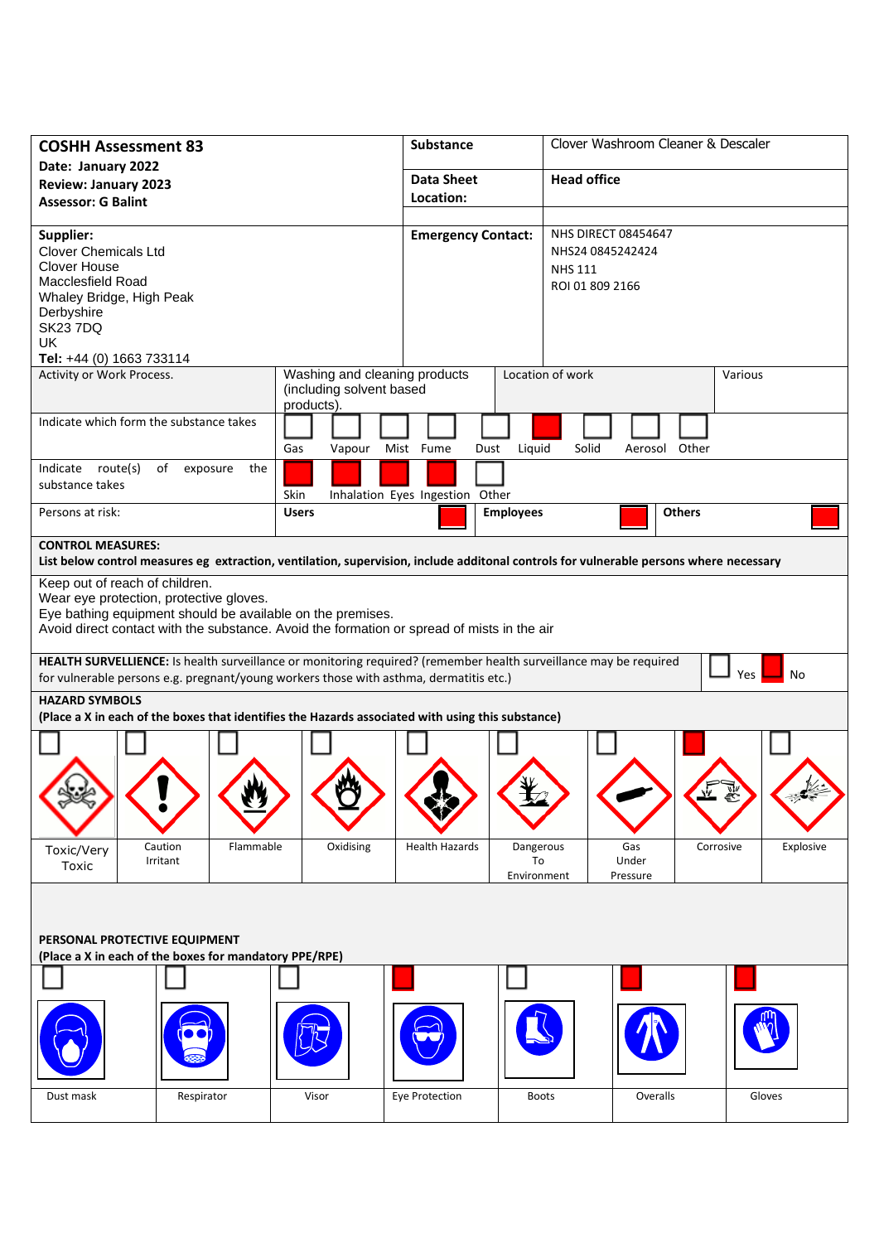| <b>COSHH Assessment 83</b>                                                                                                                                                                                                            |                                                                         | Substance                                               | Clover Washroom Cleaner & Descaler                                                                                                     |  |  |
|---------------------------------------------------------------------------------------------------------------------------------------------------------------------------------------------------------------------------------------|-------------------------------------------------------------------------|---------------------------------------------------------|----------------------------------------------------------------------------------------------------------------------------------------|--|--|
| Date: January 2022                                                                                                                                                                                                                    |                                                                         | <b>Data Sheet</b>                                       | <b>Head office</b>                                                                                                                     |  |  |
| <b>Review: January 2023</b>                                                                                                                                                                                                           |                                                                         | Location:                                               |                                                                                                                                        |  |  |
| <b>Assessor: G Balint</b>                                                                                                                                                                                                             |                                                                         |                                                         |                                                                                                                                        |  |  |
| Supplier:<br><b>Clover Chemicals Ltd</b><br>Clover House<br>Macclesfield Road<br>Whaley Bridge, High Peak<br>Derbyshire                                                                                                               |                                                                         | <b>Emergency Contact:</b>                               | <b>NHS DIRECT 08454647</b><br>NHS24 0845242424<br><b>NHS 111</b><br>ROI 01 809 2166                                                    |  |  |
| <b>SK23 7DQ</b>                                                                                                                                                                                                                       |                                                                         |                                                         |                                                                                                                                        |  |  |
| <b>UK</b><br>Tel: +44 (0) 1663 733114                                                                                                                                                                                                 |                                                                         |                                                         |                                                                                                                                        |  |  |
| Activity or Work Process.                                                                                                                                                                                                             | Washing and cleaning products<br>(including solvent based<br>products). |                                                         | Location of work<br>Various                                                                                                            |  |  |
| Indicate which form the substance takes                                                                                                                                                                                               | Vapour Mist Fume<br>Gas                                                 | Liquid<br>Dust                                          | Solid<br>Aerosol Other                                                                                                                 |  |  |
| Indicate route(s)<br>of<br>exposure<br>the<br>substance takes                                                                                                                                                                         | Skin                                                                    | Inhalation Eyes Ingestion Other                         |                                                                                                                                        |  |  |
| Persons at risk:                                                                                                                                                                                                                      | <b>Users</b>                                                            | <b>Employees</b>                                        | <b>Others</b>                                                                                                                          |  |  |
| <b>CONTROL MEASURES:</b>                                                                                                                                                                                                              |                                                                         |                                                         |                                                                                                                                        |  |  |
|                                                                                                                                                                                                                                       |                                                                         |                                                         | List below control measures eg extraction, ventilation, supervision, include additonal controls for vulnerable persons where necessary |  |  |
| Keep out of reach of children.<br>Wear eye protection, protective gloves.<br>Eye bathing equipment should be available on the premises.<br>Avoid direct contact with the substance. Avoid the formation or spread of mists in the air |                                                                         |                                                         |                                                                                                                                        |  |  |
| HEALTH SURVELLIENCE: Is health surveillance or monitoring required? (remember health surveillance may be required<br>for vulnerable persons e.g. pregnant/young workers those with asthma, dermatitis etc.)                           |                                                                         |                                                         | <b>Yes</b><br>No                                                                                                                       |  |  |
| <b>HAZARD SYMBOLS</b><br>(Place a X in each of the boxes that identifies the Hazards associated with using this substance)                                                                                                            |                                                                         |                                                         |                                                                                                                                        |  |  |
|                                                                                                                                                                                                                                       |                                                                         |                                                         |                                                                                                                                        |  |  |
|                                                                                                                                                                                                                                       |                                                                         |                                                         |                                                                                                                                        |  |  |
| Caution<br>Flammable<br>Toxic/Very<br>Irritant<br>Toxic                                                                                                                                                                               | Oxidising                                                               | <b>Health Hazards</b><br>Dangerous<br>To<br>Environment | Gas<br>Corrosive<br>Explosive<br>Under<br>Pressure                                                                                     |  |  |
| PERSONAL PROTECTIVE EQUIPMENT<br>(Place a X in each of the boxes for mandatory PPE/RPE)                                                                                                                                               |                                                                         |                                                         |                                                                                                                                        |  |  |
|                                                                                                                                                                                                                                       |                                                                         |                                                         |                                                                                                                                        |  |  |
| Dust mask<br>Respirator                                                                                                                                                                                                               | Visor                                                                   | Eye Protection<br><b>Boots</b>                          | Overalls<br>Gloves                                                                                                                     |  |  |